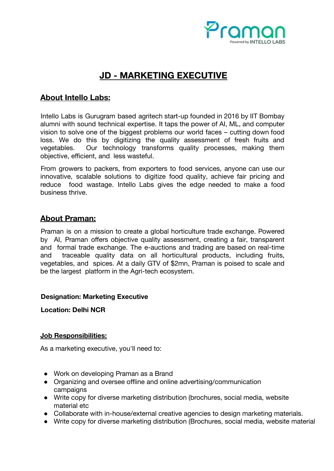

# **JD - MARKETING EXECUTIVE**

## **About Intello Labs:**

Intello Labs is Gurugram based agritech start-up founded in 2016 by IIT Bombay alumni with sound technical expertise. It taps the power of AI, ML, and computer vision to solve one of the biggest problems our world faces – cutting down food loss. We do this by digitizing the quality assessment of fresh fruits and vegetables. Our technology transforms quality processes, making them objective, efficient, and less wasteful.

From growers to packers, from exporters to food services, anyone can use our innovative, scalable solutions to digitize food quality, achieve fair pricing and reduce food wastage. Intello Labs gives the edge needed to make a food business thrive.

### **About Praman:**

Praman is on a mission to create a global horticulture trade exchange. Powered by AI, Praman offers objective quality assessment, creating a fair, transparent and formal trade exchange. The e-auctions and trading are based on real-time and traceable quality data on all horticultural products, including fruits, vegetables, and spices. At a daily GTV of \$2mn, Praman is poised to scale and be the largest platform in the Agri-tech ecosystem.

#### **Designation: Marketing Executive**

**Location: Delhi NCR**

#### **Job Responsibilities:**

As a marketing executive, you'll need to:

- Work on developing Praman as a Brand
- Organizing and oversee offline and online advertising/communication campaigns
- Write copy for diverse marketing distribution (brochures, social media, website material etc
- Collaborate with in-house/external creative agencies to design marketing materials.
- Write copy for diverse marketing distribution (Brochures, social media, website material